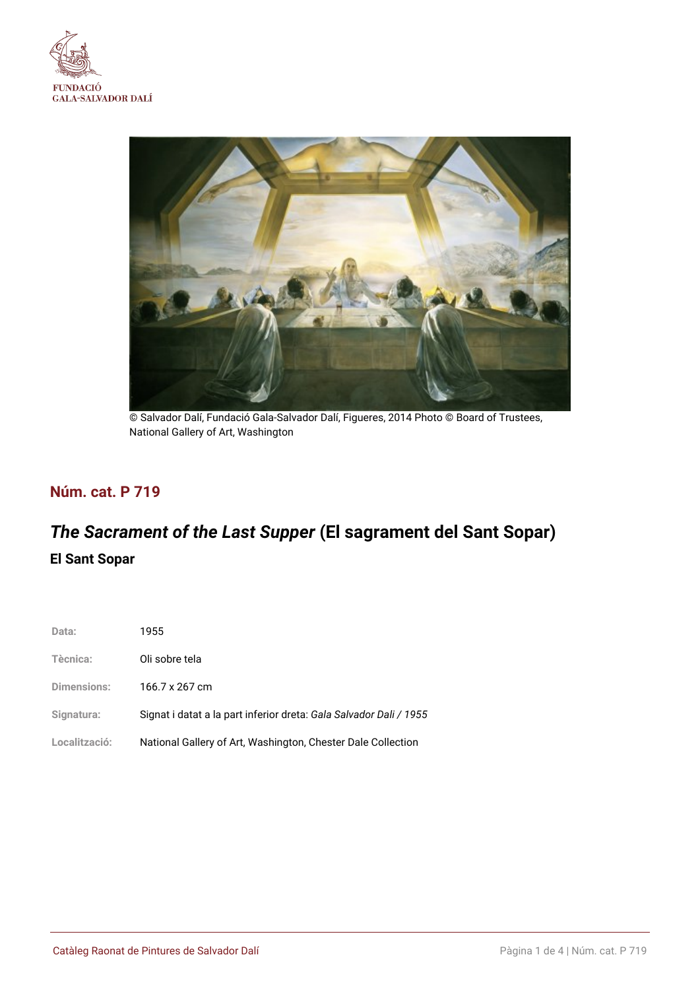



© Salvador Dalí, Fundació Gala-Salvador Dalí, Figueres, 2014 Photo © Board of Trustees, National Gallery of Art, Washington

## **Núm. cat. P 719**

# *The Sacrament of the Last Supper* **(El sagrament del Sant Sopar) El Sant Sopar**

| Data:              | 1955                                                               |
|--------------------|--------------------------------------------------------------------|
| Tècnica:           | Oli sobre tela                                                     |
| <b>Dimensions:</b> | 166.7 x 267 cm                                                     |
| Signatura:         | Signat i datat a la part inferior dreta: Gala Salvador Dali / 1955 |
| Localització:      | National Gallery of Art, Washington, Chester Dale Collection       |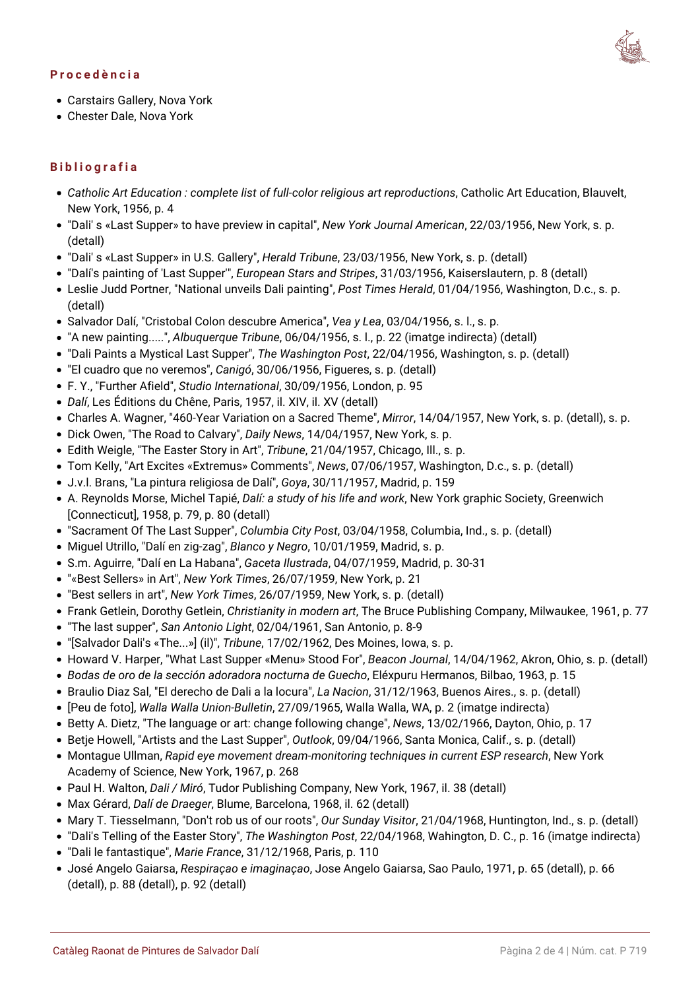#### **Procedència**



- Carstairs Gallery, Nova York
- Chester Dale, Nova York

### **Bibliografia**

- *Catholic Art Education : complete list of full-color religious art reproductions*, Catholic Art Education, Blauvelt, New York, 1956, p. 4
- "Dali' s «Last Supper» to have preview in capital", *New York Journal American*, 22/03/1956, New York, s. p. (detall)
- "Dali' s «Last Supper» in U.S. Gallery", *Herald Tribune*, 23/03/1956, New York, s. p. (detall)
- "Dalí's painting of 'Last Supper'", *European Stars and Stripes*, 31/03/1956, Kaiserslautern, p. 8 (detall)
- Leslie Judd Portner, "National unveils Dali painting", *Post Times Herald*, 01/04/1956, Washington, D.c., s. p. (detall)
- Salvador Dalí, "Cristobal Colon descubre America", *Vea y Lea*, 03/04/1956, s. l., s. p.
- "A new painting.....", *Albuquerque Tribune*, 06/04/1956, s. l., p. 22 (imatge indirecta) (detall)
- "Dali Paints a Mystical Last Supper", *The Washington Post*, 22/04/1956, Washington, s. p. (detall)
- "El cuadro que no veremos", *Canigó*, 30/06/1956, Figueres, s. p. (detall)
- F. Y., "Further Afield", *Studio International*, 30/09/1956, London, p. 95
- *Dalí*, Les Éditions du Chêne, Paris, 1957, il. XIV, il. XV (detall)
- Charles A. Wagner, "460-Year Variation on a Sacred Theme", *Mirror*, 14/04/1957, New York, s. p. (detall), s. p.
- Dick Owen, "The Road to Calvary", *Daily News*, 14/04/1957, New York, s. p.
- Edith Weigle, "The Easter Story in Art", *Tribune*, 21/04/1957, Chicago, Ill., s. p.
- Tom Kelly, "Art Excites «Extremus» Comments", *News*, 07/06/1957, Washington, D.c., s. p. (detall)
- J.v.l. Brans, "La pintura religiosa de Dalí", *Goya*, 30/11/1957, Madrid, p. 159
- A. Reynolds Morse, Michel Tapié, *Dalí: a study of his life and work*, New York graphic Society, Greenwich [Connecticut], 1958, p. 79, p. 80 (detall)
- "Sacrament Of The Last Supper", *Columbia City Post*, 03/04/1958, Columbia, Ind., s. p. (detall)
- Miguel Utrillo, "Dalí en zig-zag", *Blanco y Negro*, 10/01/1959, Madrid, s. p.
- S.m. Aguirre, "Dalí en La Habana", *Gaceta Ilustrada*, 04/07/1959, Madrid, p. 30-31
- "«Best Sellers» in Art", *New York Times*, 26/07/1959, New York, p. 21
- "Best sellers in art", *New York Times*, 26/07/1959, New York, s. p. (detall)
- Frank Getlein, Dorothy Getlein, *Christianity in modern art*, The Bruce Publishing Company, Milwaukee, 1961, p. 77
- "The last supper", *San Antonio Light*, 02/04/1961, San Antonio, p. 8-9
- "[Salvador Dali's «The...»] (il)", *Tribune*, 17/02/1962, Des Moines, Iowa, s. p.
- Howard V. Harper, "What Last Supper «Menu» Stood For", *Beacon Journal*, 14/04/1962, Akron, Ohio, s. p. (detall)
- *Bodas de oro de la sección adoradora nocturna de Guecho*, Eléxpuru Hermanos, Bilbao, 1963, p. 15
- Braulio Diaz Sal, "El derecho de Dali a la locura", *La Nacion*, 31/12/1963, Buenos Aires., s. p. (detall)
- [Peu de foto], *Walla Walla Union-Bulletin*, 27/09/1965, Walla Walla, WA, p. 2 (imatge indirecta)
- Betty A. Dietz, "The language or art: change following change", *News*, 13/02/1966, Dayton, Ohio, p. 17
- Betje Howell, "Artists and the Last Supper", *Outlook*, 09/04/1966, Santa Monica, Calif., s. p. (detall)
- Montague Ullman, *Rapid eye movement dream-monitoring techniques in current ESP research*, New York Academy of Science, New York, 1967, p. 268
- Paul H. Walton, *Dali / Miró*, Tudor Publishing Company, New York, 1967, il. 38 (detall)
- Max Gérard, *Dalí de Draeger*, Blume, Barcelona, 1968, il. 62 (detall)
- Mary T. Tiesselmann, "Don't rob us of our roots", *Our Sunday Visitor*, 21/04/1968, Huntington, Ind., s. p. (detall)
- "Dali's Telling of the Easter Story", *The Washington Post*, 22/04/1968, Wahington, D. C., p. 16 (imatge indirecta)
- "Dali le fantastique", *Marie France*, 31/12/1968, Paris, p. 110
- José Angelo Gaiarsa, *Respiraçao e imaginaçao*, Jose Angelo Gaiarsa, Sao Paulo, 1971, p. 65 (detall), p. 66 (detall), p. 88 (detall), p. 92 (detall)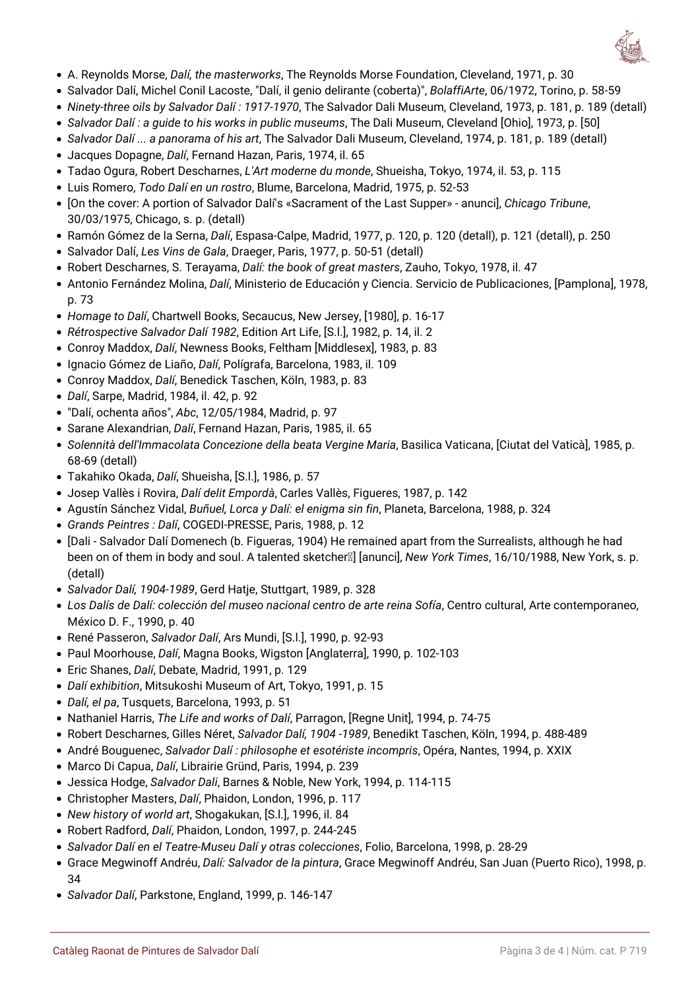

- A. Reynolds Morse, *Dalí, the masterworks*, The Reynolds Morse Foundation, Cleveland, 1971, p. 30
- Salvador Dalí, Michel Conil Lacoste, "Dalí, il genio delirante (coberta)", *BolaffiArte*, 06/1972, Torino, p. 58-59
- *Ninety-three oils by Salvador Dalí : 1917-1970*, The Salvador Dali Museum, Cleveland, 1973, p. 181, p. 189 (detall)
- *Salvador Dalí : a guide to his works in public museums*, The Dali Museum, Cleveland [Ohio], 1973, p. [50]
- *Salvador Dalí ... a panorama of his art*, The Salvador Dali Museum, Cleveland, 1974, p. 181, p. 189 (detall)
- Jacques Dopagne, *Dalí*, Fernand Hazan, Paris, 1974, il. 65
- Tadao Ogura, Robert Descharnes, *L'Art moderne du monde*, Shueisha, Tokyo, 1974, il. 53, p. 115
- Luis Romero, *Todo Dalí en un rostro*, Blume, Barcelona, Madrid, 1975, p. 52-53
- [On the cover: A portion of Salvador Dalí's «Sacrament of the Last Supper» anunci], *Chicago Tribune*, 30/03/1975, Chicago, s. p. (detall)
- Ramón Gómez de la Serna, *Dalí*, Espasa-Calpe, Madrid, 1977, p. 120, p. 120 (detall), p. 121 (detall), p. 250
- Salvador Dalí, *Les Vins de Gala*, Draeger, Paris, 1977, p. 50-51 (detall)
- Robert Descharnes, S. Terayama, *Dalí: the book of great masters*, Zauho, Tokyo, 1978, il. 47
- Antonio Fernández Molina, *Dalí*, Ministerio de Educación y Ciencia. Servicio de Publicaciones, [Pamplona], 1978, p. 73
- *Homage to Dalí*, Chartwell Books, Secaucus, New Jersey, [1980], p. 16-17
- *Rétrospective Salvador Dalí 1982*, Edition Art Life, [S.l.], 1982, p. 14, il. 2
- Conroy Maddox, *Dalí*, Newness Books, Feltham [Middlesex], 1983, p. 83
- Ignacio Gómez de Liaño, *Dalí*, Polígrafa, Barcelona, 1983, il. 109
- Conroy Maddox, *Dalí*, Benedick Taschen, Köln, 1983, p. 83
- *Dalí*, Sarpe, Madrid, 1984, il. 42, p. 92
- "Dalí, ochenta años", *Abc*, 12/05/1984, Madrid, p. 97
- Sarane Alexandrian, *Dalí*, Fernand Hazan, Paris, 1985, il. 65
- *Solennità dell'Immacolata Concezione della beata Vergine Maria*, Basilica Vaticana, [Ciutat del Vaticà], 1985, p. 68-69 (detall)
- Takahiko Okada, *Dalí*, Shueisha, [S.l.], 1986, p. 57
- Josep Vallès i Rovira, *Dalí delit Empordà*, Carles Vallès, Figueres, 1987, p. 142
- Agustín Sánchez Vidal, *Buñuel, Lorca y Dalí: el enigma sin fin*, Planeta, Barcelona, 1988, p. 324
- *Grands Peintres : Dalí*, COGEDI-PRESSE, Paris, 1988, p. 12
- [Dali Salvador Dalí Domenech (b. Figueras, 1904) He remained apart from the Surrealists, although he had been on of them in body and soul. A talented sketcher<sub><sup>[2]</sup> [anunci], *New York Times*, 16/10/1988, New York, s. p.</sub> (detall)
- *Salvador Dalí, 1904-1989*, Gerd Hatje, Stuttgart, 1989, p. 328
- *Los Dalís de Dalí: colección del museo nacional centro de arte reina Sofía*, Centro cultural, Arte contemporaneo, México D. F., 1990, p. 40
- René Passeron, *Salvador Dalí*, Ars Mundi, [S.l.], 1990, p. 92-93
- Paul Moorhouse, *Dalí*, Magna Books, Wigston [Anglaterra], 1990, p. 102-103
- Eric Shanes, *Dalí*, Debate, Madrid, 1991, p. 129
- *Dalí exhibition*, Mitsukoshi Museum of Art, Tokyo, 1991, p. 15
- *Dalí, el pa*, Tusquets, Barcelona, 1993, p. 51
- Nathaniel Harris, *The Life and works of Dalí*, Parragon, [Regne Unit], 1994, p. 74-75
- Robert Descharnes, Gilles Néret, *Salvador Dalí, 1904 -1989*, Benedikt Taschen, Köln, 1994, p. 488-489
- André Bouguenec, *Salvador Dalí : philosophe et esotériste incompris*, Opéra, Nantes, 1994, p. XXIX
- Marco Di Capua, *Dalí*, Librairie Gründ, Paris, 1994, p. 239
- Jessica Hodge, *Salvador Dali*, Barnes & Noble, New York, 1994, p. 114-115
- Christopher Masters, *Dalí*, Phaidon, London, 1996, p. 117
- *New history of world art*, Shogakukan, [S.l.], 1996, il. 84
- Robert Radford, *Dalí*, Phaidon, London, 1997, p. 244-245
- *Salvador Dalí en el Teatre-Museu Dalí y otras colecciones*, Folio, Barcelona, 1998, p. 28-29
- Grace Megwinoff Andréu, *Dalí: Salvador de la pintura*, Grace Megwinoff Andréu, San Juan (Puerto Rico), 1998, p. 34
- *Salvador Dalí*, Parkstone, England, 1999, p. 146-147